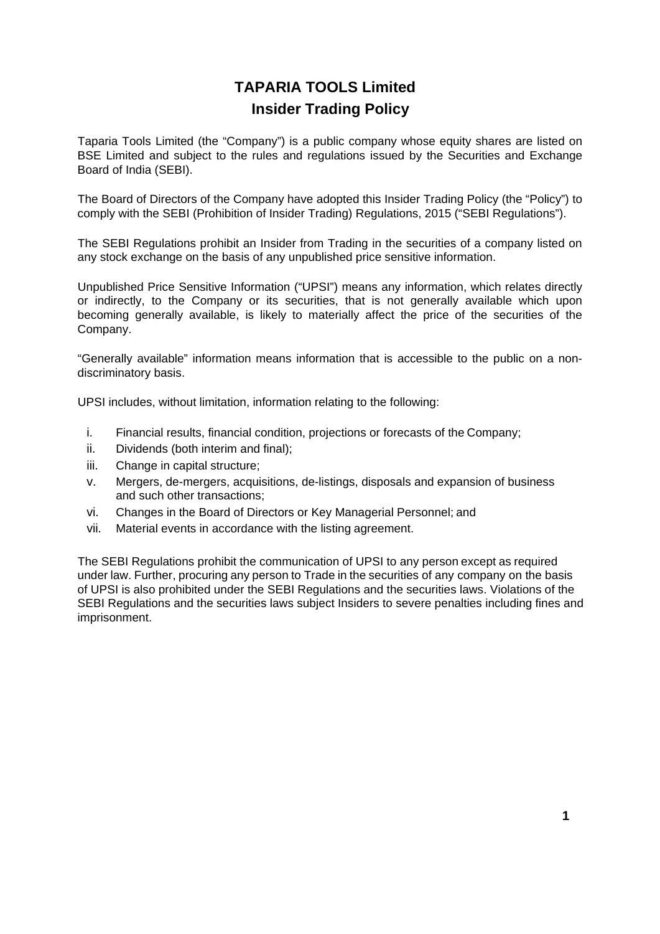# **TAPARIA TOOLS Limited Insider Trading Policy**

Taparia Tools Limited (the "Company") is a public company whose equity shares are listed on BSE Limited and subject to the rules and regulations issued by the Securities and Exchange Board of India (SEBI).

The Board of Directors of the Company have adopted this Insider Trading Policy (the "Policy") to comply with the SEBI (Prohibition of Insider Trading) Regulations, 2015 ("SEBI Regulations").

The SEBI Regulations prohibit an Insider from Trading in the securities of a company listed on any stock exchange on the basis of any unpublished price sensitive information.

Unpublished Price Sensitive Information ("UPSI") means any information, which relates directly or indirectly, to the Company or its securities, that is not generally available which upon becoming generally available, is likely to materially affect the price of the securities of the Company.

"Generally available" information means information that is accessible to the public on a nondiscriminatory basis.

UPSI includes, without limitation, information relating to the following:

- i. Financial results, financial condition, projections or forecasts of the Company;
- ii. Dividends (both interim and final);
- iii. Change in capital structure;
- v. Mergers, de-mergers, acquisitions, de-listings, disposals and expansion of business and such other transactions;
- vi. Changes in the Board of Directors or Key Managerial Personnel; and
- vii. Material events in accordance with the listing agreement.

The SEBI Regulations prohibit the communication of UPSI to any person except as required under law. Further, procuring any person to Trade in the securities of any company on the basis of UPSI is also prohibited under the SEBI Regulations and the securities laws. Violations of the SEBI Regulations and the securities laws subject Insiders to severe penalties including fines and imprisonment.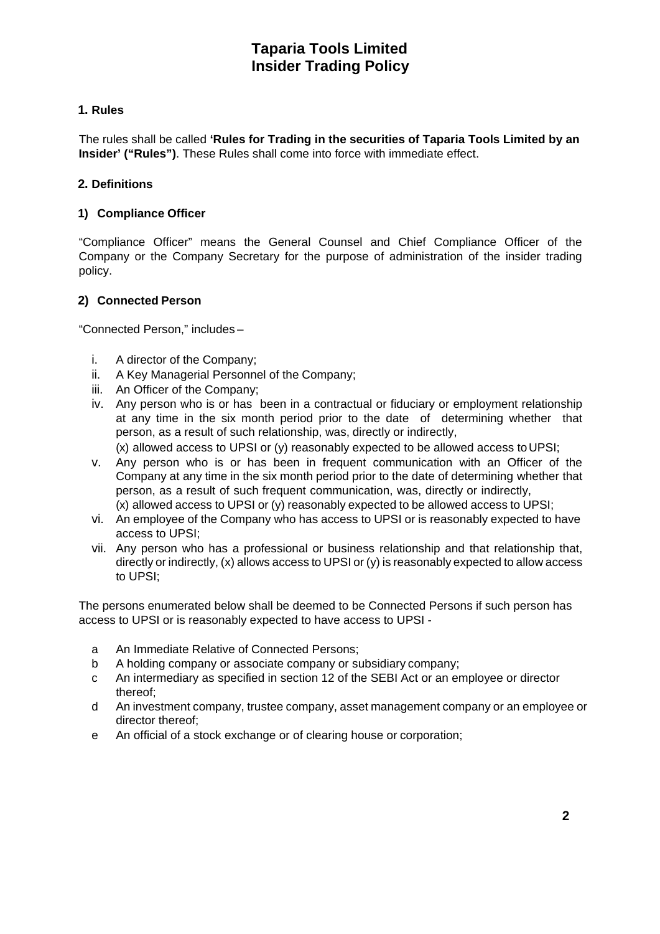## **1. Rules**

The rules shall be called **'Rules for Trading in the securities of Taparia Tools Limited by an Insider' ("Rules")**. These Rules shall come into force with immediate effect.

## **2. Definitions**

## **1) Compliance Officer**

"Compliance Officer" means the General Counsel and Chief Compliance Officer of the Company or the Company Secretary for the purpose of administration of the insider trading policy.

## **2) Connected Person**

"Connected Person," includes –

- i. A director of the Company;
- ii. A Key Managerial Personnel of the Company;
- iii. An Officer of the Company;
- iv. Any person who is or has been in a contractual or fiduciary or employment relationship at any time in the six month period prior to the date of determining whether that person, as a result of such relationship, was, directly or indirectly, (x) allowed access to UPSI or (y) reasonably expected to be allowed access to UPSI;
- v. Any person who is or has been in frequent communication with an Officer of the Company at any time in the six month period prior to the date of determining whether that person, as a result of such frequent communication, was, directly or indirectly, (x) allowed access to UPSI or (y) reasonably expected to be allowed access to UPSI;
- vi. An employee of the Company who has access to UPSI or is reasonably expected to have access to UPSI;
- vii. Any person who has a professional or business relationship and that relationship that, directly or indirectly, (x) allows access to UPSI or (y) is reasonably expected to allow access to UPSI;

The persons enumerated below shall be deemed to be Connected Persons if such person has access to UPSI or is reasonably expected to have access to UPSI -

- a An Immediate Relative of Connected Persons;
- b A holding company or associate company or subsidiary company;
- c An intermediary as specified in section 12 of the SEBI Act or an employee or director thereof;
- d An investment company, trustee company, asset management company or an employee or director thereof;
- e An official of a stock exchange or of clearing house or corporation;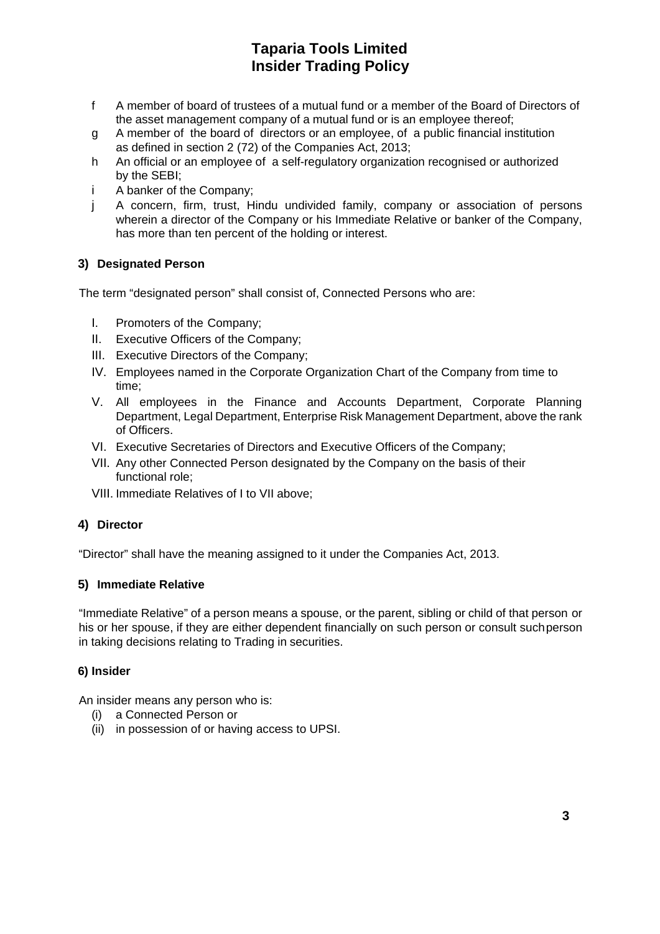- f A member of board of trustees of a mutual fund or a member of the Board of Directors of the asset management company of a mutual fund or is an employee thereof;
- g A member of the board of directors or an employee, of a public financial institution as defined in section 2 (72) of the Companies Act, 2013;
- h An official or an employee of a self-regulatory organization recognised or authorized by the SEBI;
- i A banker of the Company;
- j A concern, firm, trust, Hindu undivided family, company or association of persons wherein a director of the Company or his Immediate Relative or banker of the Company, has more than ten percent of the holding or interest.

## **3) Designated Person**

The term "designated person" shall consist of, Connected Persons who are:

- I. Promoters of the Company;
- II. Executive Officers of the Company;
- III. Executive Directors of the Company;
- IV. Employees named in the Corporate Organization Chart of the Company from time to time;
- V. All employees in the Finance and Accounts Department, Corporate Planning Department, Legal Department, Enterprise Risk Management Department, above the rank of Officers.
- VI. Executive Secretaries of Directors and Executive Officers of the Company;
- VII. Any other Connected Person designated by the Company on the basis of their functional role;
- VIII. Immediate Relatives of I to VII above;

## **4) Director**

"Director" shall have the meaning assigned to it under the Companies Act, 2013.

### **5) Immediate Relative**

"Immediate Relative" of a person means a spouse, or the parent, sibling or child of that person or his or her spouse, if they are either dependent financially on such person or consult such person in taking decisions relating to Trading in securities.

### **6) Insider**

An insider means any person who is:

- (i) a Connected Person or
- (ii) in possession of or having access to UPSI.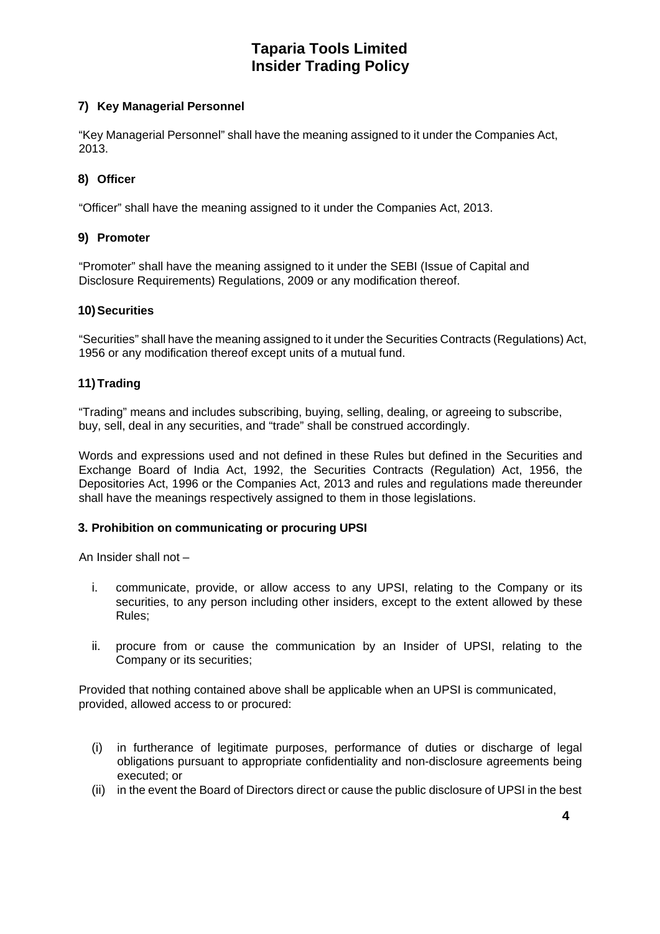## **7) Key Managerial Personnel**

"Key Managerial Personnel" shall have the meaning assigned to it under the Companies Act, 2013.

### **8) Officer**

"Officer" shall have the meaning assigned to it under the Companies Act, 2013.

### **9) Promoter**

"Promoter" shall have the meaning assigned to it under the SEBI (Issue of Capital and Disclosure Requirements) Regulations, 2009 or any modification thereof.

#### **10) Securities**

"Securities" shall have the meaning assigned to it under the Securities Contracts (Regulations) Act, 1956 or any modification thereof except units of a mutual fund.

### **11) Trading**

"Trading" means and includes subscribing, buying, selling, dealing, or agreeing to subscribe, buy, sell, deal in any securities, and "trade" shall be construed accordingly.

Words and expressions used and not defined in these Rules but defined in the Securities and Exchange Board of India Act, 1992, the Securities Contracts (Regulation) Act, 1956, the Depositories Act, 1996 or the Companies Act, 2013 and rules and regulations made thereunder shall have the meanings respectively assigned to them in those legislations.

### **3. Prohibition on communicating or procuring UPSI**

An Insider shall not –

- i. communicate, provide, or allow access to any UPSI, relating to the Company or its securities, to any person including other insiders, except to the extent allowed by these Rules;
- ii. procure from or cause the communication by an Insider of UPSI, relating to the Company or its securities;

Provided that nothing contained above shall be applicable when an UPSI is communicated, provided, allowed access to or procured:

- (i) in furtherance of legitimate purposes, performance of duties or discharge of legal obligations pursuant to appropriate confidentiality and non-disclosure agreements being executed; or
- (ii) in the event the Board of Directors direct or cause the public disclosure of UPSI in the best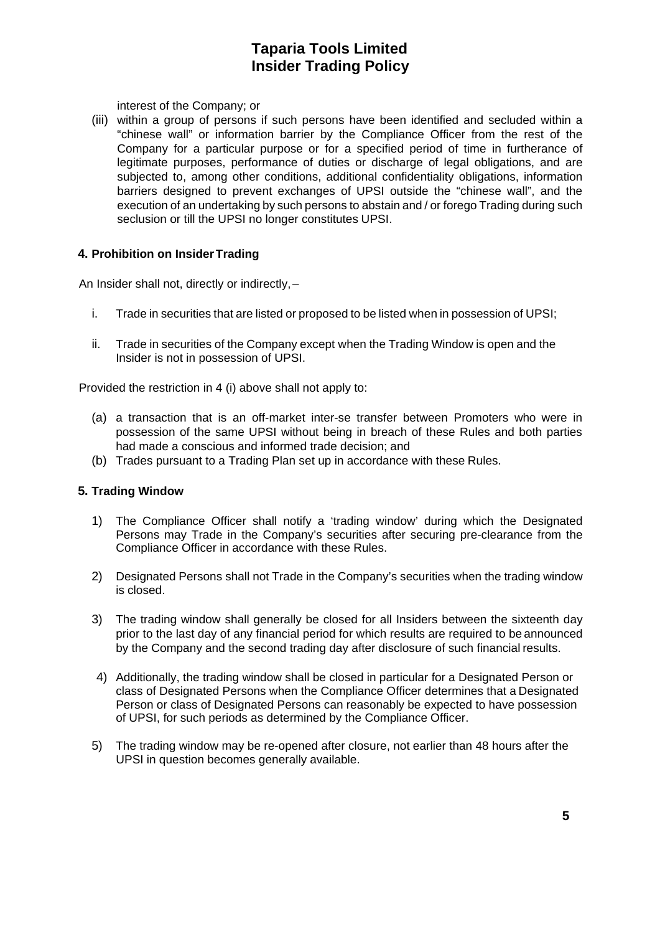interest of the Company; or

(iii) within a group of persons if such persons have been identified and secluded within a "chinese wall" or information barrier by the Compliance Officer from the rest of the Company for a particular purpose or for a specified period of time in furtherance of legitimate purposes, performance of duties or discharge of legal obligations, and are subjected to, among other conditions, additional confidentiality obligations, information barriers designed to prevent exchanges of UPSI outside the "chinese wall", and the execution of an undertaking by such persons to abstain and / or forego Trading during such seclusion or till the UPSI no longer constitutes UPSI.

### **4. Prohibition on Insider Trading**

An Insider shall not, directly or indirectly, –

- i. Trade in securities that are listed or proposed to be listed when in possession of UPSI;
- ii. Trade in securities of the Company except when the Trading Window is open and the Insider is not in possession of UPSI.

Provided the restriction in 4 (i) above shall not apply to:

- (a) a transaction that is an off-market inter-se transfer between Promoters who were in possession of the same UPSI without being in breach of these Rules and both parties had made a conscious and informed trade decision; and
- (b) Trades pursuant to a Trading Plan set up in accordance with these Rules.

### **5. Trading Window**

- 1) The Compliance Officer shall notify a 'trading window' during which the Designated Persons may Trade in the Company's securities after securing pre-clearance from the Compliance Officer in accordance with these Rules.
- 2) Designated Persons shall not Trade in the Company's securities when the trading window is closed.
- 3) The trading window shall generally be closed for all Insiders between the sixteenth day prior to the last day of any financial period for which results are required to be announced by the Company and the second trading day after disclosure of such financial results.
- 4) Additionally, the trading window shall be closed in particular for a Designated Person or class of Designated Persons when the Compliance Officer determines that a Designated Person or class of Designated Persons can reasonably be expected to have possession of UPSI, for such periods as determined by the Compliance Officer.
- 5) The trading window may be re-opened after closure, not earlier than 48 hours after the UPSI in question becomes generally available.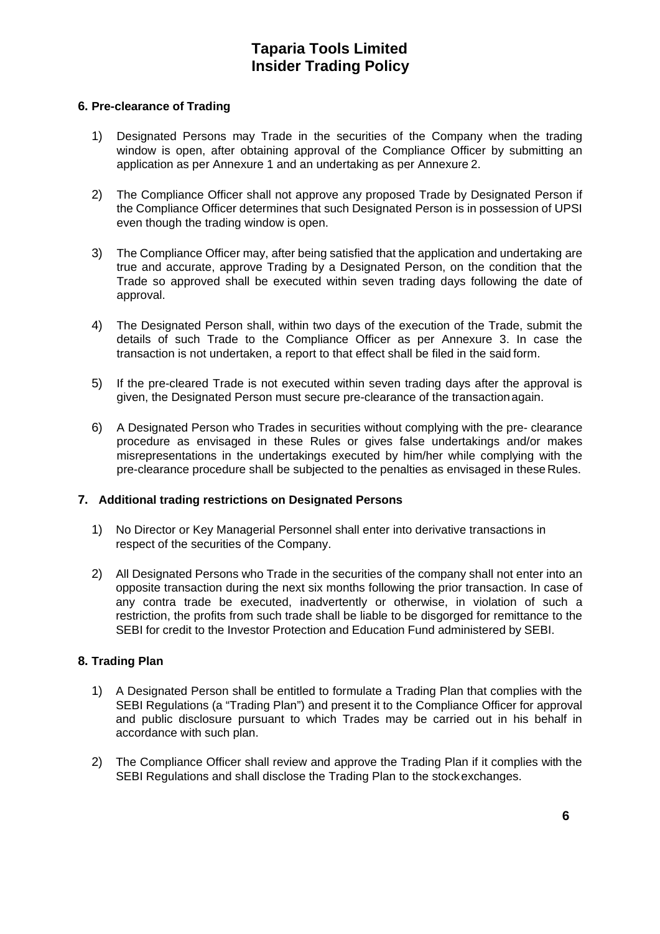#### **6. Pre-clearance of Trading**

- 1) Designated Persons may Trade in the securities of the Company when the trading window is open, after obtaining approval of the Compliance Officer by submitting an application as per Annexure 1 and an undertaking as per Annexure 2.
- 2) The Compliance Officer shall not approve any proposed Trade by Designated Person if the Compliance Officer determines that such Designated Person is in possession of UPSI even though the trading window is open.
- 3) The Compliance Officer may, after being satisfied that the application and undertaking are true and accurate, approve Trading by a Designated Person, on the condition that the Trade so approved shall be executed within seven trading days following the date of approval.
- 4) The Designated Person shall, within two days of the execution of the Trade, submit the details of such Trade to the Compliance Officer as per Annexure 3. In case the transaction is not undertaken, a report to that effect shall be filed in the said form.
- 5) If the pre-cleared Trade is not executed within seven trading days after the approval is given, the Designated Person must secure pre-clearance of the transaction again.
- 6) A Designated Person who Trades in securities without complying with the pre- clearance procedure as envisaged in these Rules or gives false undertakings and/or makes misrepresentations in the undertakings executed by him/her while complying with the pre-clearance procedure shall be subjected to the penalties as envisaged in these Rules.

### **7. Additional trading restrictions on Designated Persons**

- 1) No Director or Key Managerial Personnel shall enter into derivative transactions in respect of the securities of the Company.
- 2) All Designated Persons who Trade in the securities of the company shall not enter into an opposite transaction during the next six months following the prior transaction. In case of any contra trade be executed, inadvertently or otherwise, in violation of such a restriction, the profits from such trade shall be liable to be disgorged for remittance to the SEBI for credit to the Investor Protection and Education Fund administered by SEBI.

### **8. Trading Plan**

- 1) A Designated Person shall be entitled to formulate a Trading Plan that complies with the SEBI Regulations (a "Trading Plan") and present it to the Compliance Officer for approval and public disclosure pursuant to which Trades may be carried out in his behalf in accordance with such plan.
- 2) The Compliance Officer shall review and approve the Trading Plan if it complies with the SEBI Regulations and shall disclose the Trading Plan to the stock exchanges.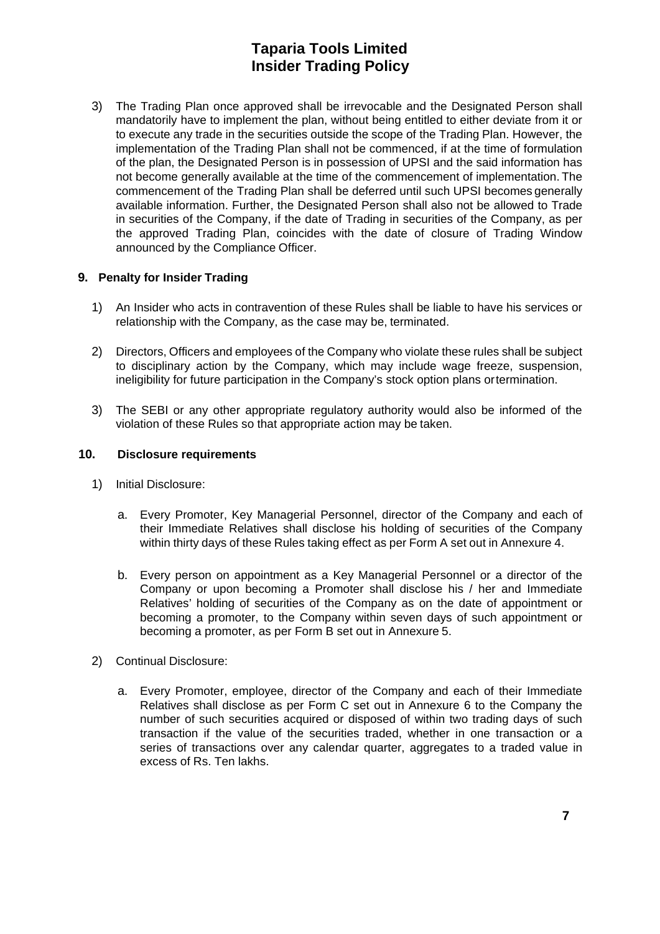3) The Trading Plan once approved shall be irrevocable and the Designated Person shall mandatorily have to implement the plan, without being entitled to either deviate from it or to execute any trade in the securities outside the scope of the Trading Plan. However, the implementation of the Trading Plan shall not be commenced, if at the time of formulation of the plan, the Designated Person is in possession of UPSI and the said information has not become generally available at the time of the commencement of implementation. The commencement of the Trading Plan shall be deferred until such UPSI becomes generally available information. Further, the Designated Person shall also not be allowed to Trade in securities of the Company, if the date of Trading in securities of the Company, as per the approved Trading Plan, coincides with the date of closure of Trading Window announced by the Compliance Officer.

### **9. Penalty for Insider Trading**

- 1) An Insider who acts in contravention of these Rules shall be liable to have his services or relationship with the Company, as the case may be, terminated.
- 2) Directors, Officers and employees of the Company who violate these rules shall be subject to disciplinary action by the Company, which may include wage freeze, suspension, ineligibility for future participation in the Company's stock option plans or termination.
- 3) The SEBI or any other appropriate regulatory authority would also be informed of the violation of these Rules so that appropriate action may be taken.

### **10. Disclosure requirements**

- 1) Initial Disclosure:
	- a. Every Promoter, Key Managerial Personnel, director of the Company and each of their Immediate Relatives shall disclose his holding of securities of the Company within thirty days of these Rules taking effect as per Form A set out in Annexure 4.
	- b. Every person on appointment as a Key Managerial Personnel or a director of the Company or upon becoming a Promoter shall disclose his / her and Immediate Relatives' holding of securities of the Company as on the date of appointment or becoming a promoter, to the Company within seven days of such appointment or becoming a promoter, as per Form B set out in Annexure 5.
- 2) Continual Disclosure:
	- a. Every Promoter, employee, director of the Company and each of their Immediate Relatives shall disclose as per Form C set out in Annexure 6 to the Company the number of such securities acquired or disposed of within two trading days of such transaction if the value of the securities traded, whether in one transaction or a series of transactions over any calendar quarter, aggregates to a traded value in excess of Rs. Ten lakhs.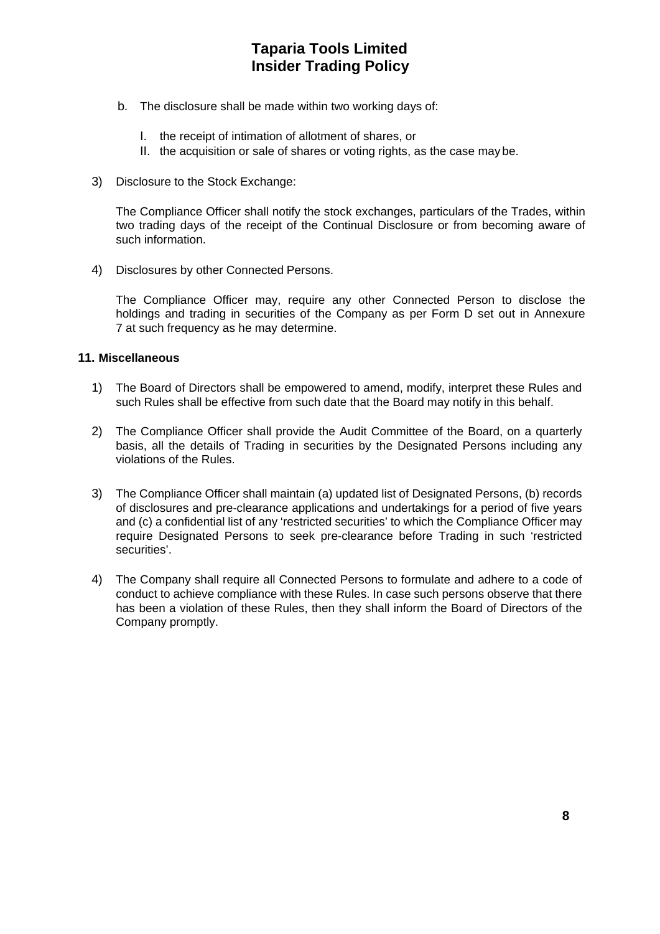- b. The disclosure shall be made within two working days of:
	- I. the receipt of intimation of allotment of shares, or
	- II. the acquisition or sale of shares or voting rights, as the case may be.
- 3) Disclosure to the Stock Exchange:

The Compliance Officer shall notify the stock exchanges, particulars of the Trades, within two trading days of the receipt of the Continual Disclosure or from becoming aware of such information.

4) Disclosures by other Connected Persons.

The Compliance Officer may, require any other Connected Person to disclose the holdings and trading in securities of the Company as per Form D set out in Annexure 7 at such frequency as he may determine.

#### **11. Miscellaneous**

- 1) The Board of Directors shall be empowered to amend, modify, interpret these Rules and such Rules shall be effective from such date that the Board may notify in this behalf.
- 2) The Compliance Officer shall provide the Audit Committee of the Board, on a quarterly basis, all the details of Trading in securities by the Designated Persons including any violations of the Rules.
- 3) The Compliance Officer shall maintain (a) updated list of Designated Persons, (b) records of disclosures and pre-clearance applications and undertakings for a period of five years and (c) a confidential list of any 'restricted securities' to which the Compliance Officer may require Designated Persons to seek pre-clearance before Trading in such 'restricted securities'.
- 4) The Company shall require all Connected Persons to formulate and adhere to a code of conduct to achieve compliance with these Rules. In case such persons observe that there has been a violation of these Rules, then they shall inform the Board of Directors of the Company promptly.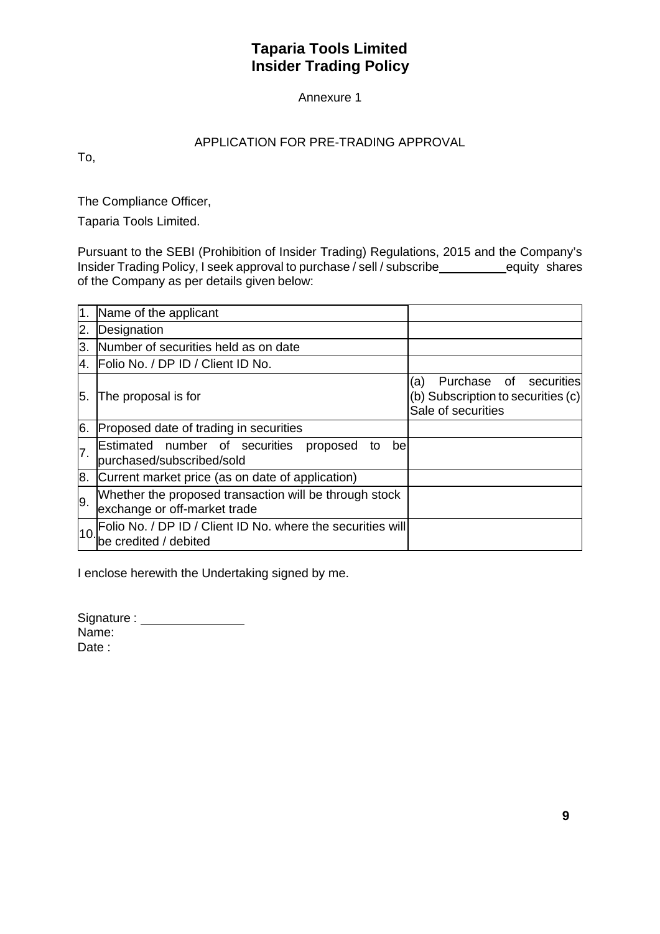## Annexure 1

## APPLICATION FOR PRE-TRADING APPROVAL

To,

The Compliance Officer,

Taparia Tools Limited.

Pursuant to the SEBI (Prohibition of Insider Trading) Regulations, 2015 and the Company's Insider Trading Policy, I seek approval to purchase / sell / subscribe equity shares of the Company as per details given below:

|    | Name of the applicant                                                                  |                                                                                           |
|----|----------------------------------------------------------------------------------------|-------------------------------------------------------------------------------------------|
| 2. | Designation                                                                            |                                                                                           |
| 3. | Number of securities held as on date                                                   |                                                                                           |
| 4. | Folio No. / DP ID / Client ID No.                                                      |                                                                                           |
| 5. | The proposal is for                                                                    | Purchase of securities<br>(a)<br>(b) Subscription to securities (c)<br>Sale of securities |
| 6. | Proposed date of trading in securities                                                 |                                                                                           |
| 7. | Estimated number of securities<br>proposed<br>bel<br>to<br>purchased/subscribed/sold   |                                                                                           |
|    | 8. Current market price (as on date of application)                                    |                                                                                           |
| 9. | Whether the proposed transaction will be through stock<br>exchange or off-market trade |                                                                                           |
| 10 | Folio No. / DP ID / Client ID No. where the securities will<br>be credited / debited   |                                                                                           |

I enclose herewith the Undertaking signed by me.

Signature : \_\_\_\_\_\_\_\_\_\_\_\_\_\_\_\_\_\_ Name: Date: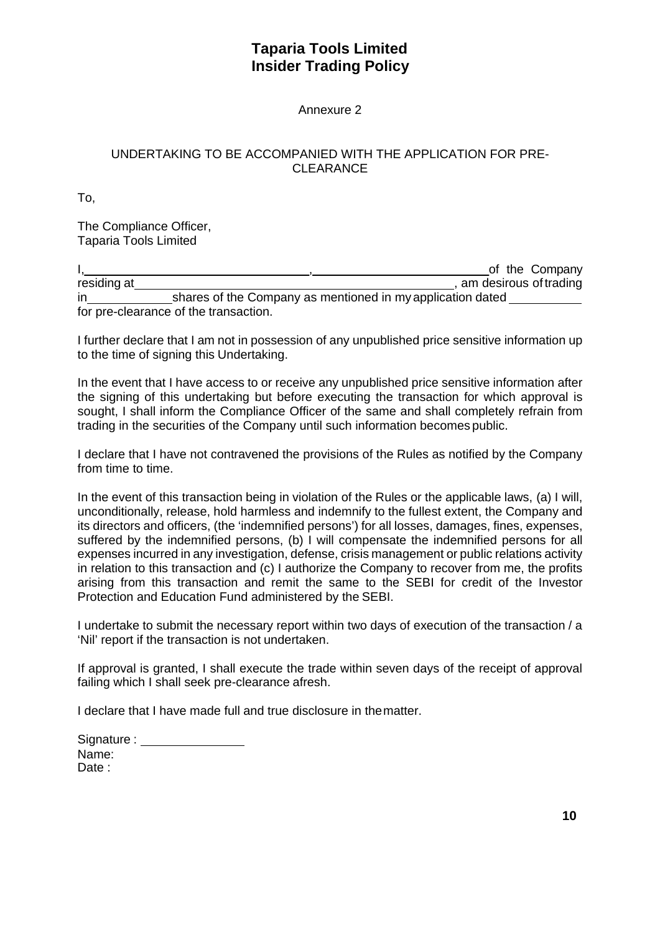Annexure 2

## UNDERTAKING TO BE ACCOMPANIED WITH THE APPLICATION FOR PRE-CLEARANCE

To,

The Compliance Officer, Taparia Tools Limited

I, the Company of the Company of the Company of the Company residing at 1. Am and 1. Am and 1. Am and 1. Am and 1. Am and 1. Am and 1. Am and 1. Am and 1. Am and 1. Am an in shares of the Company as mentioned in my application dated for pre-clearance of the transaction.

I further declare that I am not in possession of any unpublished price sensitive information up to the time of signing this Undertaking.

In the event that I have access to or receive any unpublished price sensitive information after the signing of this undertaking but before executing the transaction for which approval is sought, I shall inform the Compliance Officer of the same and shall completely refrain from trading in the securities of the Company until such information becomes public.

I declare that I have not contravened the provisions of the Rules as notified by the Company from time to time.

In the event of this transaction being in violation of the Rules or the applicable laws, (a) I will, unconditionally, release, hold harmless and indemnify to the fullest extent, the Company and its directors and officers, (the 'indemnified persons') for all losses, damages, fines, expenses, suffered by the indemnified persons, (b) I will compensate the indemnified persons for all expenses incurred in any investigation, defense, crisis management or public relations activity in relation to this transaction and (c) I authorize the Company to recover from me, the profits arising from this transaction and remit the same to the SEBI for credit of the Investor Protection and Education Fund administered by the SEBI.

I undertake to submit the necessary report within two days of execution of the transaction / a 'Nil' report if the transaction is not undertaken.

If approval is granted, I shall execute the trade within seven days of the receipt of approval failing which I shall seek pre-clearance afresh.

I declare that I have made full and true disclosure in the matter.

Signature : \_\_\_\_\_\_\_\_\_\_\_\_\_\_\_\_\_ Name: Date :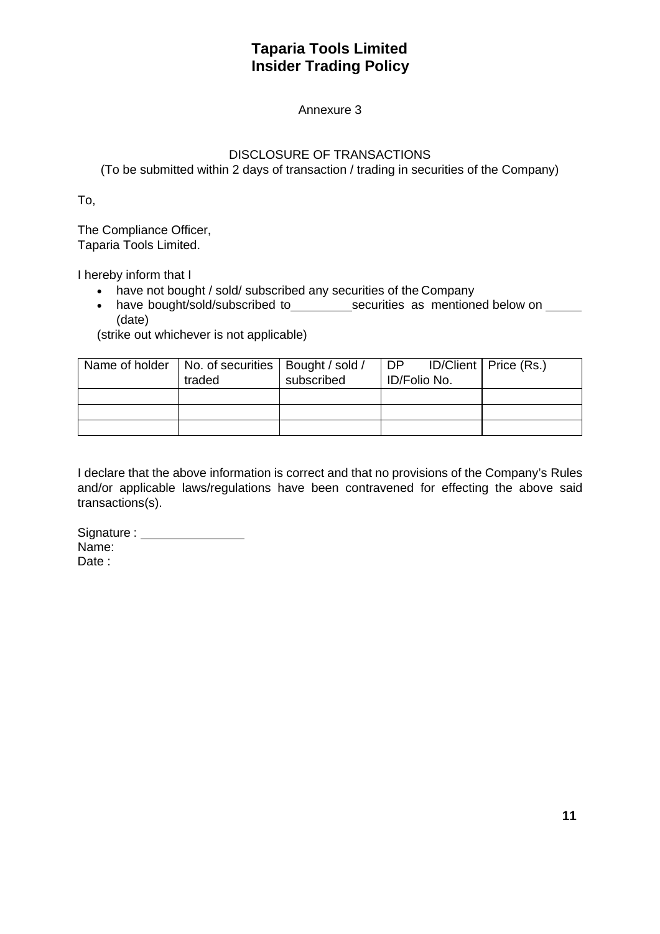## Annexure 3

## DISCLOSURE OF TRANSACTIONS

(To be submitted within 2 days of transaction / trading in securities of the Company)

To,

The Compliance Officer, Taparia Tools Limited.

I hereby inform that I

- have not bought / sold/ subscribed any securities of the Company
- have bought/sold/subscribed to\_\_\_\_\_\_\_\_\_\_\_securities as mentioned below on \_\_\_\_\_ (date)

(strike out whichever is not applicable)

| Name of holder   No. of securities   Bought / sold /<br>traded | subscribed | DP ID/Client   Price (Rs.)<br><b>ID/Folio No.</b> |  |
|----------------------------------------------------------------|------------|---------------------------------------------------|--|
|                                                                |            |                                                   |  |
|                                                                |            |                                                   |  |
|                                                                |            |                                                   |  |

I declare that the above information is correct and that no provisions of the Company's Rules and/or applicable laws/regulations have been contravened for effecting the above said transactions(s).

Signature : Name: Date: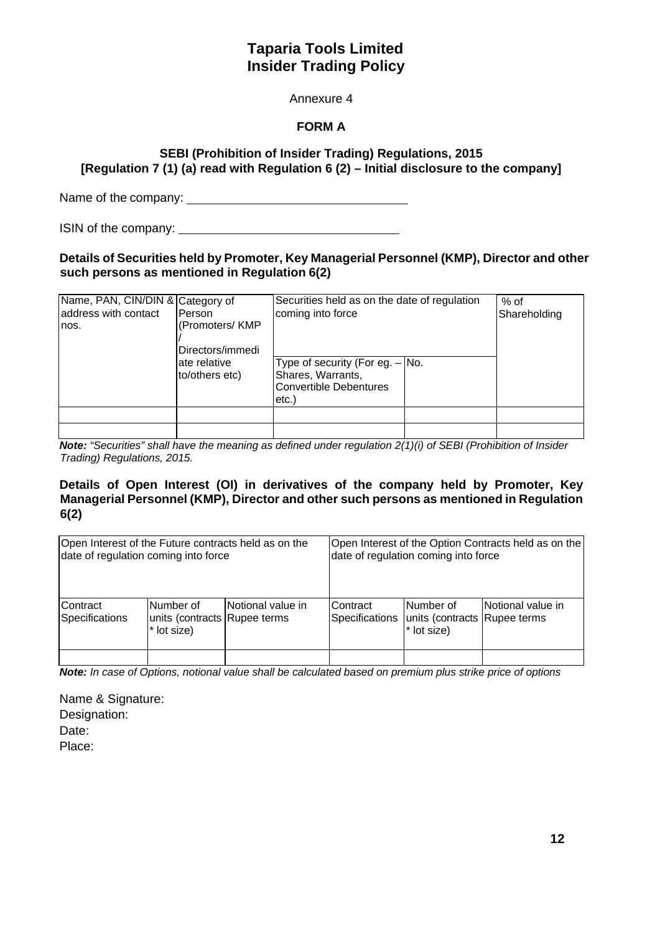### Annexure 4

## **FORM A**

## **SEBI (Prohibition of Insider Trading) Regulations, 2015 [Regulation 7 (1) (a) read with Regulation 6 (2) – Initial disclosure to the company]**

Name of the company:

ISIN of the company:

#### **Details of Securities held by Promoter, Key Managerial Personnel (KMP), Director and other such persons as mentioned in Regulation 6(2)**

| Name, PAN, CIN/DIN & Category of<br>address with contact<br>nos. | Person<br>(Promoters/KMP<br>Directors/immedi | Securities held as on the date of regulation<br>coming into force                                   | $%$ of<br>Shareholding |  |
|------------------------------------------------------------------|----------------------------------------------|-----------------------------------------------------------------------------------------------------|------------------------|--|
|                                                                  | ate relative<br>to/others etc)               | Type of security (For eg. $-$ No.<br>Shares, Warrants,<br><b>Convertible Debentures</b><br>$etc.$ ) |                        |  |
|                                                                  |                                              |                                                                                                     |                        |  |

*Note: "Securities" shall have the meaning as defined under regulation 2(1)(i) of SEBI (Prohibition of Insider Trading) Regulations, 2015.* 

### **Details of Open Interest (OI) in derivatives of the company held by Promoter, Key Managerial Personnel (KMP), Director and other such persons as mentioned in Regulation 6(2)**

| date of regulation coming into force |                                                          | Open Interest of the Future contracts held as on the |                             | date of regulation coming into force                                | Open Interest of the Option Contracts held as on the |
|--------------------------------------|----------------------------------------------------------|------------------------------------------------------|-----------------------------|---------------------------------------------------------------------|------------------------------------------------------|
| Contract<br>Specifications           | Number of<br>units (contracts Rupee terms<br>* lot size) | lNotional value in                                   | lContract<br>Specifications | Number of<br>units (contracts Rupee terms<br><sup>*</sup> lot size) | Notional value in                                    |
|                                      |                                                          |                                                      |                             |                                                                     |                                                      |

*Note: In case of Options, notional value shall be calculated based on premium plus strike price of options* 

Name & Signature: Designation: Date: Place: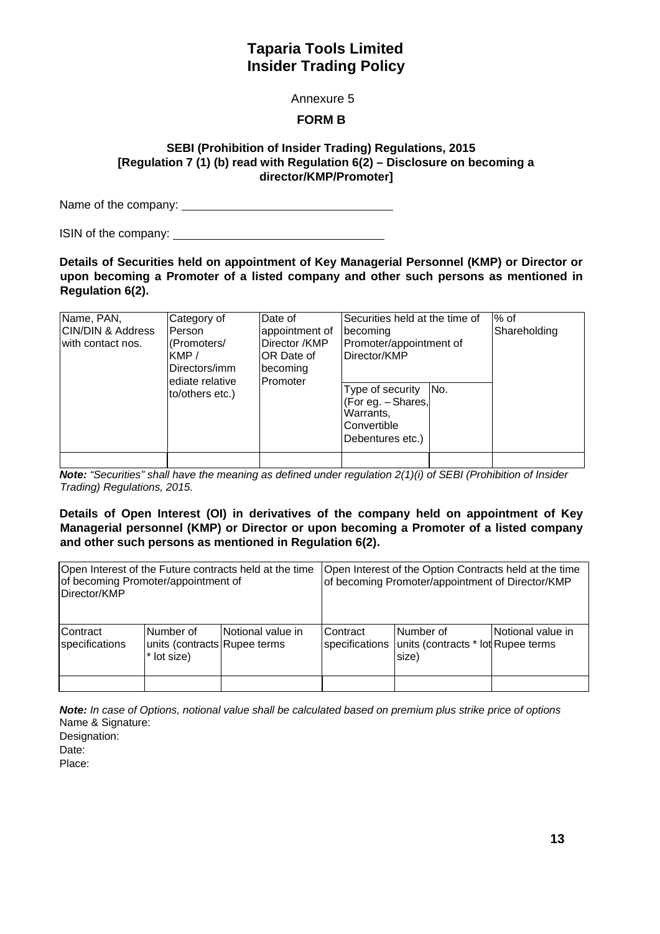Annexure 5

### **FORM B**

### **SEBI (Prohibition of Insider Trading) Regulations, 2015 [Regulation 7 (1) (b) read with Regulation 6(2) – Disclosure on becoming a director/KMP/Promoter]**

Name of the company:

ISIN of the company:

**Details of Securities held on appointment of Key Managerial Personnel (KMP) or Director or upon becoming a Promoter of a listed company and other such persons as mentioned in Regulation 6(2).** 

| Name, PAN,<br><b>CIN/DIN &amp; Address</b><br>with contact nos. | Category of<br>Person<br>(Promoters/<br>KMP/<br>Directors/imm<br>ediate relative | Date of<br>appointment of<br>Director /KMP<br>OR Date of<br>becoming<br>Promoter | Securities held at the time of<br>becoming<br>Promoter/appointment of<br>Director/KMP         | $%$ of<br>Shareholding |
|-----------------------------------------------------------------|----------------------------------------------------------------------------------|----------------------------------------------------------------------------------|-----------------------------------------------------------------------------------------------|------------------------|
|                                                                 | to/others etc.)                                                                  |                                                                                  | No.<br>Type of security<br>(For eg. - Shares,<br>Warrants,<br>Convertible<br>Debentures etc.) |                        |

*Note: "Securities" shall have the meaning as defined under regulation 2(1)(i) of SEBI (Prohibition of Insider Trading) Regulations, 2015.* 

#### **Details of Open Interest (OI) in derivatives of the company held on appointment of Key Managerial personnel (KMP) or Director or upon becoming a Promoter of a listed company and other such persons as mentioned in Regulation 6(2).**

| of becoming Promoter/appointment of<br>Director/KMP |                                                           | Open Interest of the Future contracts held at the time |                             | Open Interest of the Option Contracts held at the time<br>of becoming Promoter/appointment of Director/KMP |                   |
|-----------------------------------------------------|-----------------------------------------------------------|--------------------------------------------------------|-----------------------------|------------------------------------------------------------------------------------------------------------|-------------------|
| lContract<br>specifications                         | lNumber of<br>units (contracts Rupee terms<br>* lot size) | Notional value in                                      | lContract<br>specifications | Number of<br>units (contracts * lot Rupee terms<br>size)                                                   | Notional value in |
|                                                     |                                                           |                                                        |                             |                                                                                                            |                   |

*Note: In case of Options, notional value shall be calculated based on premium plus strike price of options*  Name & Signature: Designation: Date: Place: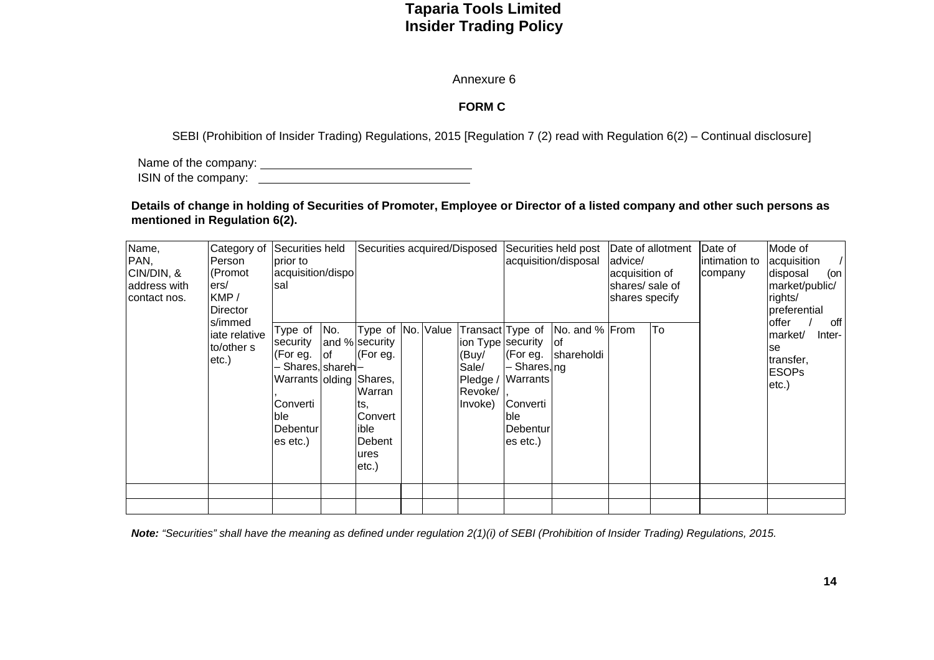#### Annexure 6

### **FORM C**

SEBI (Prohibition of Insider Trading) Regulations, 2015 [Regulation 7 (2) read with Regulation 6(2) – Continual disclosure]

Name of the company: ISIN of the company:

**Details of change in holding of Securities of Promoter, Employee or Director of a listed company and other such persons as mentioned in Regulation 6(2).** 

| Name,<br>PAN,<br>CIN/DIN, &<br>address with<br>contact nos. | Category of<br>Person<br>(Promot<br>ers/<br>KMP/<br>Director | Securities held<br>Iprior to<br>acquisition/dispo<br>sal                                                                                 |     | Securities acquired/Disposed                                                                                                           |  |                                                  |                                                                                                                    | Securities held post   Date of allotment<br>acquisition/disposal | advice/<br>acquisition of<br>shares/ sale of<br>shares specify |    | Mode of<br>acquisition<br>disposal<br>(on<br>market/public/<br>rights/<br>preferential |                                                                                 |
|-------------------------------------------------------------|--------------------------------------------------------------|------------------------------------------------------------------------------------------------------------------------------------------|-----|----------------------------------------------------------------------------------------------------------------------------------------|--|--------------------------------------------------|--------------------------------------------------------------------------------------------------------------------|------------------------------------------------------------------|----------------------------------------------------------------|----|----------------------------------------------------------------------------------------|---------------------------------------------------------------------------------|
|                                                             | s/immed<br>jate relative<br>to/other s<br>$etc.$ )           | Type of<br>security<br>(For eg. of<br>- Shares, shareh-<br>Warrants olding Shares,<br>Converti<br>lble l<br><b>IDebentur</b><br>es etc.) | No. | Type of No. Value<br>and % security<br>(For eg.<br><b>Warran</b><br>lts.<br>Convert<br>lible<br><b>IDebent</b><br>ures<br>$ $ etc. $ $ |  | (Buy/<br>Sale/<br>Pledge /<br>Revoke/<br>Invoke) | ion Type security<br>$ $ (For eg.<br>- Shares, ng<br>Warrants<br>Converti<br>ble.<br>lDebentur<br>$\vert$ es etc.) | Transact Type of No. and % From<br>lof<br>shareholdi             |                                                                | To |                                                                                        | loffer<br>off<br>market/<br>Inter-<br>lse<br>transfer,<br><b>ESOPs</b><br>etc.) |
|                                                             |                                                              |                                                                                                                                          |     |                                                                                                                                        |  |                                                  |                                                                                                                    |                                                                  |                                                                |    |                                                                                        |                                                                                 |

*Note: "Securities" shall have the meaning as defined under regulation 2(1)(i) of SEBI (Prohibition of Insider Trading) Regulations, 2015.*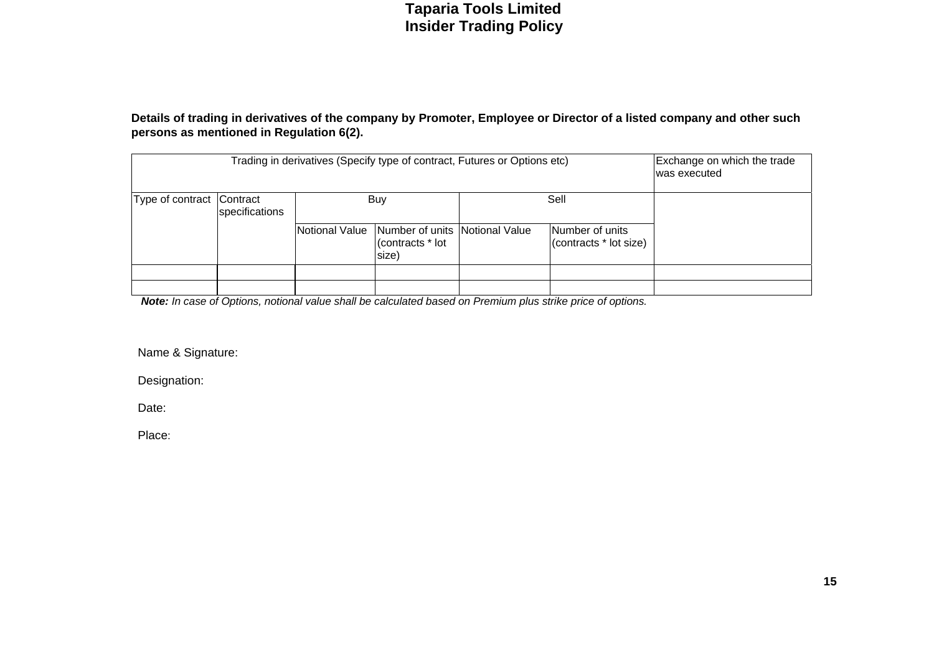#### **Details of trading in derivatives of the company by Promoter, Employee or Director of a listed company and other such persons as mentioned in Regulation 6(2).**

|                           | Exchange on which the trade<br>Trading in derivatives (Specify type of contract, Futures or Options etc)<br>was executed |                |                                                             |  |                                           |  |  |  |  |  |  |  |  |  |
|---------------------------|--------------------------------------------------------------------------------------------------------------------------|----------------|-------------------------------------------------------------|--|-------------------------------------------|--|--|--|--|--|--|--|--|--|
| Type of contract Contract | specifications                                                                                                           |                | Buy                                                         |  | Sell                                      |  |  |  |  |  |  |  |  |  |
|                           |                                                                                                                          | Notional Value | Number of units Notional Value<br>(contracts * lot<br>size) |  | Number of units<br>(contracts * lot size) |  |  |  |  |  |  |  |  |  |
|                           |                                                                                                                          |                |                                                             |  |                                           |  |  |  |  |  |  |  |  |  |
|                           |                                                                                                                          |                |                                                             |  |                                           |  |  |  |  |  |  |  |  |  |

*Note: In case of Options, notional value shall be calculated based on Premium plus strike price of options.* 

Name & Signature:

Designation:

Date:

Place: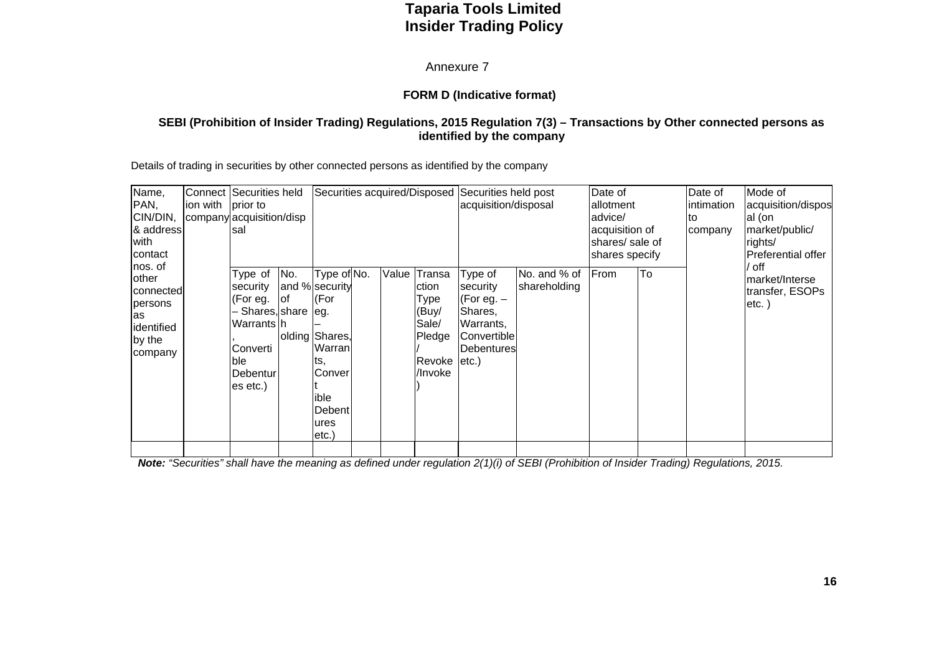Annexure 7

#### **FORM D (Indicative format)**

#### **SEBI (Prohibition of Insider Trading) Regulations, 2015 Regulation 7(3) – Transactions by Other connected persons as identified by the company**

Details of trading in securities by other connected persons as identified by the company

| Name,<br>PAN,<br>CIN/DIN,<br>& address<br>with<br>contact                           | ion with prior to | Connect Securities held<br>lsal                                                                                              | Securities acquired/Disposed Securities held post<br>acquisition/disposal<br>company acquisition/disp |                                                                                                                       | Date of<br>allotment<br>advice/<br>acquisition of<br>shares/ sale of<br>shares specify |                                                                          | Date of<br>lintimation<br>lto<br>company                                                             | Mode of<br>acquisition/dispos<br>al (on<br>market/public/<br>rights/<br>Preferential offer |      |    |  |                                                        |
|-------------------------------------------------------------------------------------|-------------------|------------------------------------------------------------------------------------------------------------------------------|-------------------------------------------------------------------------------------------------------|-----------------------------------------------------------------------------------------------------------------------|----------------------------------------------------------------------------------------|--------------------------------------------------------------------------|------------------------------------------------------------------------------------------------------|--------------------------------------------------------------------------------------------|------|----|--|--------------------------------------------------------|
| nos. of<br>lother<br>connected<br>persons<br>las<br>identified<br>by the<br>company |                   | Type of<br>security<br>(For eg.<br>- Shares, share   eg.<br>lWarrants Ih<br>lConverti<br>ble.<br><b>Debentur</b><br>es etc.) | No.<br>lof                                                                                            | Type of No.<br>and % security<br>(For<br>olding Shares,<br>Warran<br>lts,<br>Conver<br>ible<br>Debent<br>ures<br>etc. | Value                                                                                  | Transa<br>ction<br>Type<br>(Buy/<br>Sale/<br>Pledge<br>Revoke<br>/Invoke | Type of<br>security<br>(For eg. $-$<br>Shares,<br>Warrants,<br>Convertible<br>Debentures<br>$etc.$ ) | No. and % of<br>shareholding                                                               | From | To |  | / off<br>market/Interse<br>transfer, ESOPs<br>$etc.$ ) |
|                                                                                     |                   |                                                                                                                              |                                                                                                       |                                                                                                                       |                                                                                        |                                                                          |                                                                                                      |                                                                                            |      |    |  |                                                        |

*Note: "Securities" shall have the meaning as defined under regulation 2(1)(i) of SEBI (Prohibition of Insider Trading) Regulations, 2015.*